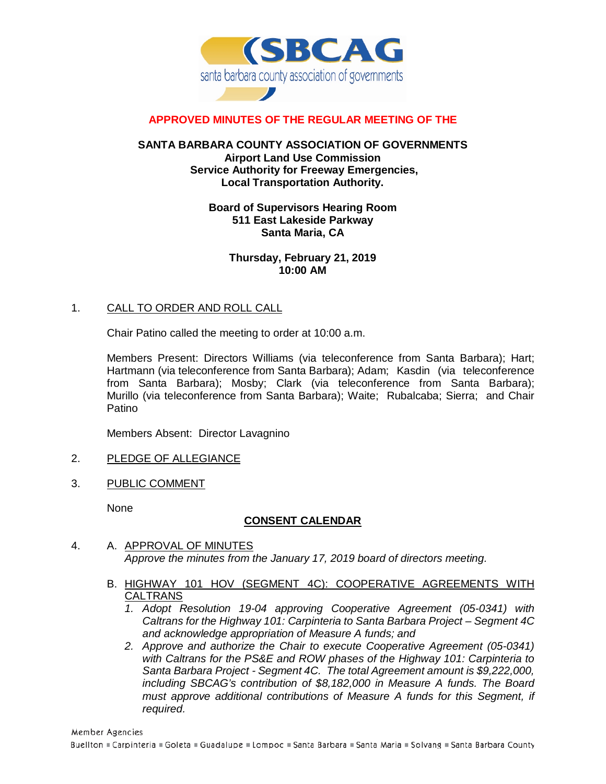

## **APPROVED MINUTES OF THE REGULAR MEETING OF THE**

### **SANTA BARBARA COUNTY ASSOCIATION OF GOVERNMENTS Airport Land Use Commission Service Authority for Freeway Emergencies, Local Transportation Authority.**

### **Board of Supervisors Hearing Room 511 East Lakeside Parkway Santa Maria, CA**

**Thursday, February 21, 2019 10:00 AM**

### 1. CALL TO ORDER AND ROLL CALL

Chair Patino called the meeting to order at 10:00 a.m.

Members Present: Directors Williams (via teleconference from Santa Barbara); Hart; Hartmann (via teleconference from Santa Barbara); Adam; Kasdin (via teleconference from Santa Barbara); Mosby; Clark (via teleconference from Santa Barbara); Murillo (via teleconference from Santa Barbara); Waite; Rubalcaba; Sierra; and Chair **Patino** 

Members Absent: Director Lavagnino

- 2. PLEDGE OF ALLEGIANCE
- 3. PUBLIC COMMENT

None

## **CONSENT CALENDAR**

- 4. A. APPROVAL OF MINUTES *Approve the minutes from the January 17, 2019 board of directors meeting.*
	- B. HIGHWAY 101 HOV (SEGMENT 4C): COOPERATIVE AGREEMENTS WITH **CALTRANS** 
		- *1. Adopt Resolution 19-04 approving Cooperative Agreement (05-0341) with Caltrans for the Highway 101: Carpinteria to Santa Barbara Project – Segment 4C and acknowledge appropriation of Measure A funds; and*
		- *2. Approve and authorize the Chair to execute Cooperative Agreement (05-0341) with Caltrans for the PS&E and ROW phases of the Highway 101: Carpinteria to Santa Barbara Project - Segment 4C. The total Agreement amount is \$9,222,000, including SBCAG's contribution of \$8,182,000 in Measure A funds. The Board must approve additional contributions of Measure A funds for this Segment, if required.*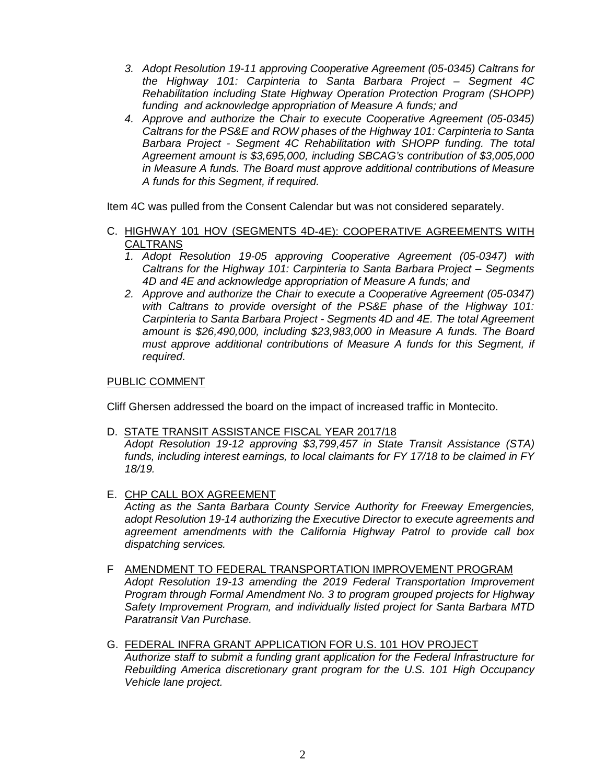- *3. Adopt Resolution 19-11 approving Cooperative Agreement (05-0345) Caltrans for the Highway 101: Carpinteria to Santa Barbara Project – Segment 4C Rehabilitation including State Highway Operation Protection Program (SHOPP) funding and acknowledge appropriation of Measure A funds; and*
- *4. Approve and authorize the Chair to execute Cooperative Agreement (05-0345) Caltrans for the PS&E and ROW phases of the Highway 101: Carpinteria to Santa Barbara Project - Segment 4C Rehabilitation with SHOPP funding. The total Agreement amount is \$3,695,000, including SBCAG's contribution of \$3,005,000 in Measure A funds. The Board must approve additional contributions of Measure A funds for this Segment, if required.*

Item 4C was pulled from the Consent Calendar but was not considered separately.

- C. HIGHWAY 101 HOV (SEGMENTS 4D-4E): COOPERATIVE AGREEMENTS WITH CALTRANS
	- *1. Adopt Resolution 19-05 approving Cooperative Agreement (05-0347) with Caltrans for the Highway 101: Carpinteria to Santa Barbara Project – Segments 4D and 4E and acknowledge appropriation of Measure A funds; and*
	- *2. Approve and authorize the Chair to execute a Cooperative Agreement (05-0347) with Caltrans to provide oversight of the PS&E phase of the Highway 101: Carpinteria to Santa Barbara Project - Segments 4D and 4E. The total Agreement amount is \$26,490,000, including \$23,983,000 in Measure A funds. The Board must approve additional contributions of Measure A funds for this Segment, if required.*

## PUBLIC COMMENT

Cliff Ghersen addressed the board on the impact of increased traffic in Montecito.

#### D. STATE TRANSIT ASSISTANCE FISCAL YEAR 2017/18

*Adopt Resolution 19-12 approving \$3,799,457 in State Transit Assistance (STA) funds, including interest earnings, to local claimants for FY 17/18 to be claimed in FY 18/19.*

E. CHP CALL BOX AGREEMENT

*Acting as the Santa Barbara County Service Authority for Freeway Emergencies, adopt Resolution 19-14 authorizing the Executive Director to execute agreements and agreement amendments with the California Highway Patrol to provide call box dispatching services.*

- F AMENDMENT TO FEDERAL TRANSPORTATION IMPROVEMENT PROGRAM *Adopt Resolution 19-13 amending the 2019 Federal Transportation Improvement Program through Formal Amendment No. 3 to program grouped projects for Highway Safety Improvement Program, and individually listed project for Santa Barbara MTD Paratransit Van Purchase.*
- G. FEDERAL INFRA GRANT APPLICATION FOR U.S. 101 HOV PROJECT *Authorize staff to submit a funding grant application for the Federal Infrastructure for Rebuilding America discretionary grant program for the U.S. 101 High Occupancy Vehicle lane project.*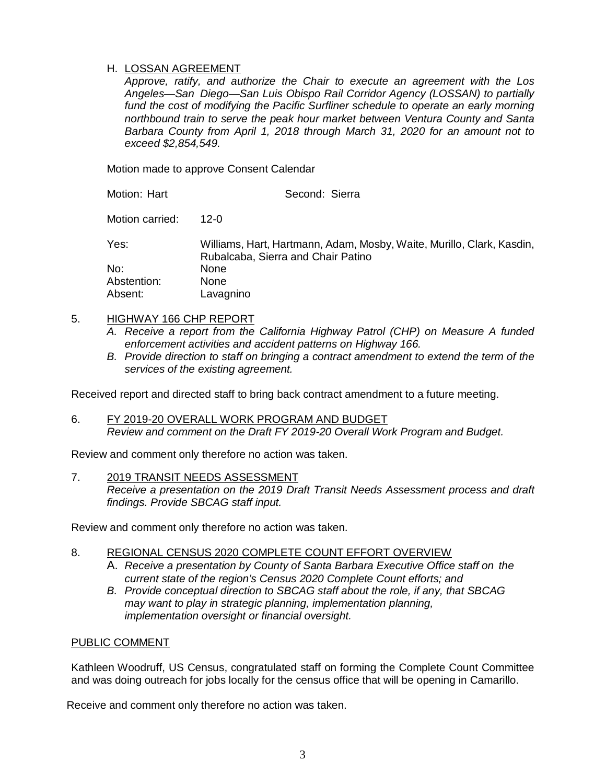## H. LOSSAN AGREEMENT

*Approve, ratify, and authorize the Chair to execute an agreement with the Los Angeles—San Diego—San Luis Obispo Rail Corridor Agency (LOSSAN) to partially*  fund the cost of modifying the Pacific Surfliner schedule to operate an early morning *northbound train to serve the peak hour market between Ventura County and Santa Barbara County from April 1, 2018 through March 31, 2020 for an amount not to exceed \$2,854,549.*

Motion made to approve Consent Calendar

| Motion: Hart    | Second: Sierra                                                                                              |
|-----------------|-------------------------------------------------------------------------------------------------------------|
| Motion carried: | 12-0                                                                                                        |
| Yes:            | Williams, Hart, Hartmann, Adam, Mosby, Waite, Murillo, Clark, Kasdin,<br>Rubalcaba, Sierra and Chair Patino |
| No:             | <b>None</b>                                                                                                 |
| Abstention:     | <b>None</b>                                                                                                 |
| Absent:         | Lavagnino                                                                                                   |

## 5. HIGHWAY 166 CHP REPORT

- *A. Receive a report from the California Highway Patrol (CHP) on Measure A funded enforcement activities and accident patterns on Highway 166.*
- *B. Provide direction to staff on bringing a contract amendment to extend the term of the services of the existing agreement.*

Received report and directed staff to bring back contract amendment to a future meeting.

6. FY 2019-20 OVERALL WORK PROGRAM AND BUDGET *Review and comment on the Draft FY 2019-20 Overall Work Program and Budget.*

Review and comment only therefore no action was taken.

#### 7. 2019 TRANSIT NEEDS ASSESSMENT

*Receive a presentation on the 2019 Draft Transit Needs Assessment process and draft findings. Provide SBCAG staff input.*

Review and comment only therefore no action was taken.

## 8. REGIONAL CENSUS 2020 COMPLETE COUNT EFFORT OVERVIEW

- A. *Receive a presentation by County of Santa Barbara Executive Office staff on the current state of the region's Census 2020 Complete Count efforts; and*
- *B. Provide conceptual direction to SBCAG staff about the role, if any, that SBCAG may want to play in strategic planning, implementation planning, implementation oversight or financial oversight.*

## PUBLIC COMMENT

Kathleen Woodruff, US Census, congratulated staff on forming the Complete Count Committee and was doing outreach for jobs locally for the census office that will be opening in Camarillo.

Receive and comment only therefore no action was taken.